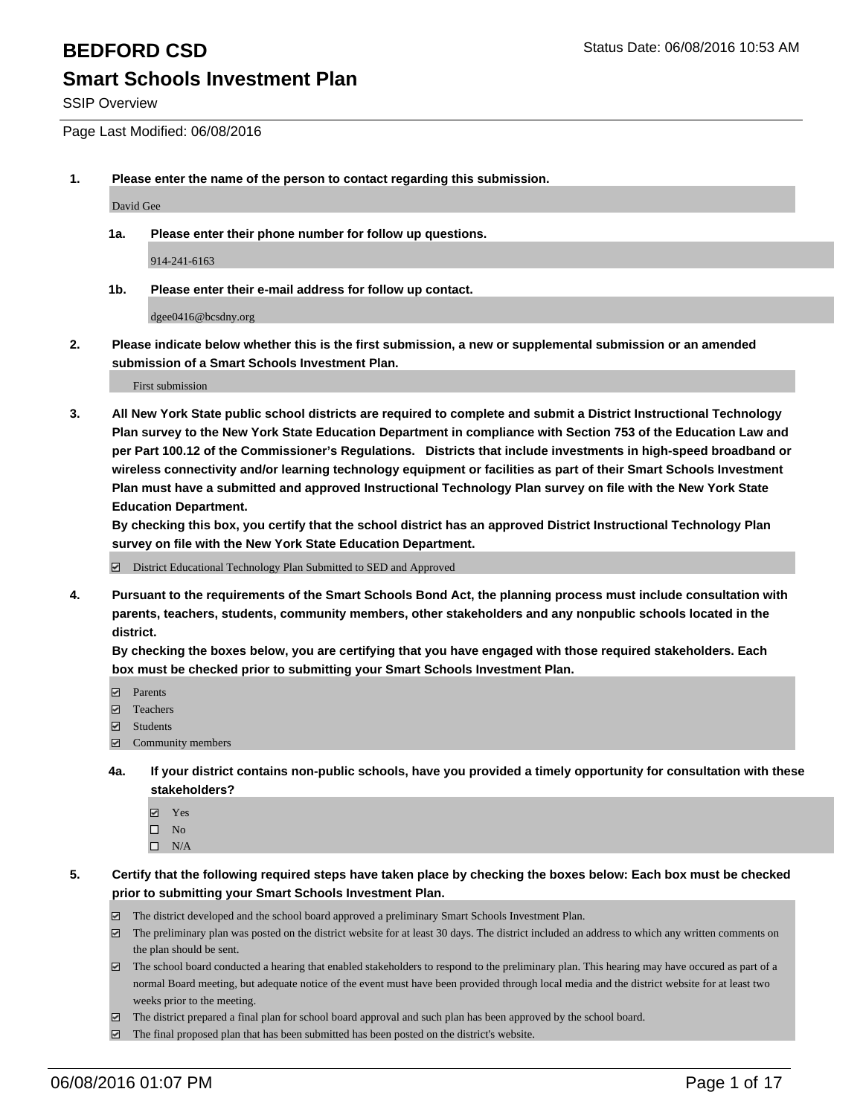SSIP Overview

Page Last Modified: 06/08/2016

**1. Please enter the name of the person to contact regarding this submission.**

David Gee

**1a. Please enter their phone number for follow up questions.**

914-241-6163

**1b. Please enter their e-mail address for follow up contact.**

dgee0416@bcsdny.org

**2. Please indicate below whether this is the first submission, a new or supplemental submission or an amended submission of a Smart Schools Investment Plan.**

First submission

**3. All New York State public school districts are required to complete and submit a District Instructional Technology Plan survey to the New York State Education Department in compliance with Section 753 of the Education Law and per Part 100.12 of the Commissioner's Regulations. Districts that include investments in high-speed broadband or wireless connectivity and/or learning technology equipment or facilities as part of their Smart Schools Investment Plan must have a submitted and approved Instructional Technology Plan survey on file with the New York State Education Department.** 

**By checking this box, you certify that the school district has an approved District Instructional Technology Plan survey on file with the New York State Education Department.**

District Educational Technology Plan Submitted to SED and Approved

**4. Pursuant to the requirements of the Smart Schools Bond Act, the planning process must include consultation with parents, teachers, students, community members, other stakeholders and any nonpublic schools located in the district.** 

**By checking the boxes below, you are certifying that you have engaged with those required stakeholders. Each box must be checked prior to submitting your Smart Schools Investment Plan.**

- **Parents**
- Teachers
- $\blacksquare$  Students
- Community members
- **4a. If your district contains non-public schools, have you provided a timely opportunity for consultation with these stakeholders?**
	- Yes  $\square$  No
	- $\square$  N/A
- **5. Certify that the following required steps have taken place by checking the boxes below: Each box must be checked prior to submitting your Smart Schools Investment Plan.**
	- The district developed and the school board approved a preliminary Smart Schools Investment Plan.
	- $\boxdot$  The preliminary plan was posted on the district website for at least 30 days. The district included an address to which any written comments on the plan should be sent.
	- The school board conducted a hearing that enabled stakeholders to respond to the preliminary plan. This hearing may have occured as part of a normal Board meeting, but adequate notice of the event must have been provided through local media and the district website for at least two weeks prior to the meeting.
	- The district prepared a final plan for school board approval and such plan has been approved by the school board.
	- $\boxdot$  The final proposed plan that has been submitted has been posted on the district's website.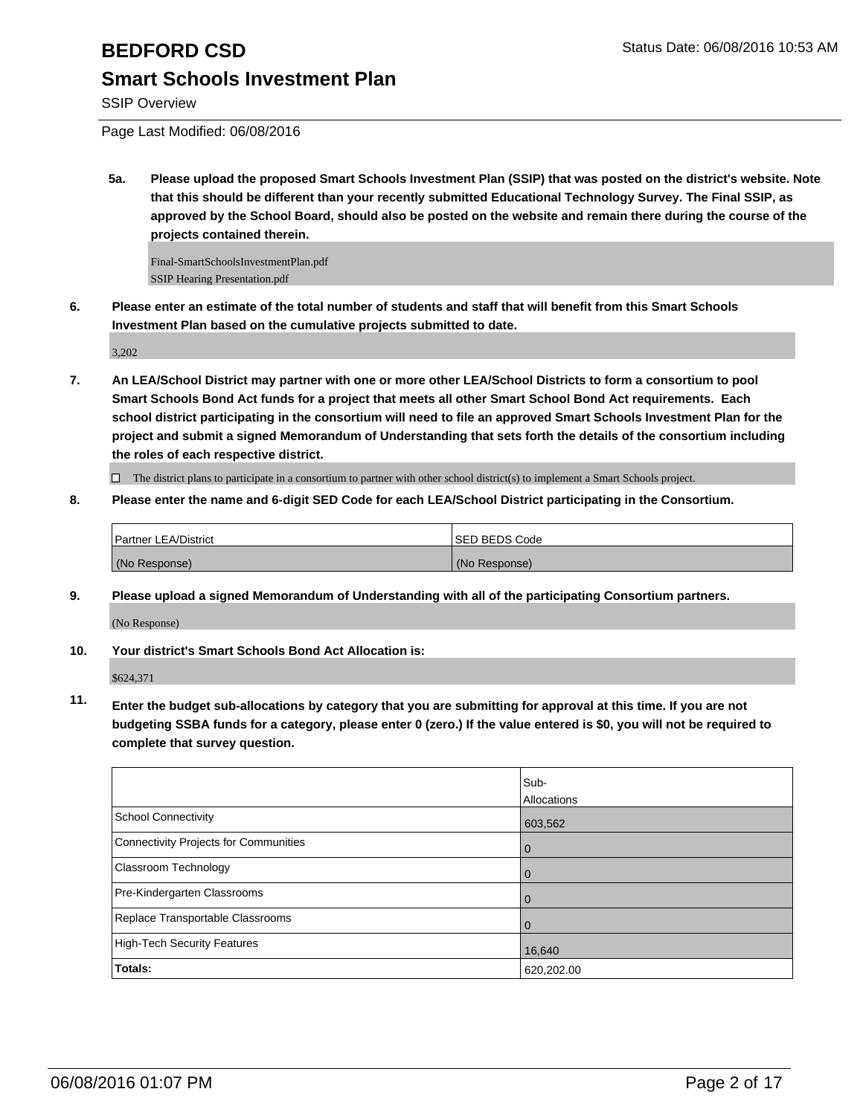SSIP Overview

Page Last Modified: 06/08/2016

**5a. Please upload the proposed Smart Schools Investment Plan (SSIP) that was posted on the district's website. Note that this should be different than your recently submitted Educational Technology Survey. The Final SSIP, as approved by the School Board, should also be posted on the website and remain there during the course of the projects contained therein.**

Final-SmartSchoolsInvestmentPlan.pdf SSIP Hearing Presentation.pdf

**6. Please enter an estimate of the total number of students and staff that will benefit from this Smart Schools Investment Plan based on the cumulative projects submitted to date.**

3,202

**7. An LEA/School District may partner with one or more other LEA/School Districts to form a consortium to pool Smart Schools Bond Act funds for a project that meets all other Smart School Bond Act requirements. Each school district participating in the consortium will need to file an approved Smart Schools Investment Plan for the project and submit a signed Memorandum of Understanding that sets forth the details of the consortium including the roles of each respective district.**

 $\Box$  The district plans to participate in a consortium to partner with other school district(s) to implement a Smart Schools project.

**8. Please enter the name and 6-digit SED Code for each LEA/School District participating in the Consortium.**

| <b>Partner LEA/District</b> | <b>ISED BEDS Code</b> |
|-----------------------------|-----------------------|
| (No Response)               | (No Response)         |

**9. Please upload a signed Memorandum of Understanding with all of the participating Consortium partners.**

(No Response)

**10. Your district's Smart Schools Bond Act Allocation is:**

\$624,371

**11. Enter the budget sub-allocations by category that you are submitting for approval at this time. If you are not budgeting SSBA funds for a category, please enter 0 (zero.) If the value entered is \$0, you will not be required to complete that survey question.**

|                                       | Sub-<br>Allocations |
|---------------------------------------|---------------------|
| School Connectivity                   | 603,562             |
| Connectivity Projects for Communities | O                   |
| <b>Classroom Technology</b>           | 0                   |
| Pre-Kindergarten Classrooms           | $\cup$              |
| Replace Transportable Classrooms      |                     |
| High-Tech Security Features           | 16,640              |
| <b>Totals:</b>                        | 620,202.00          |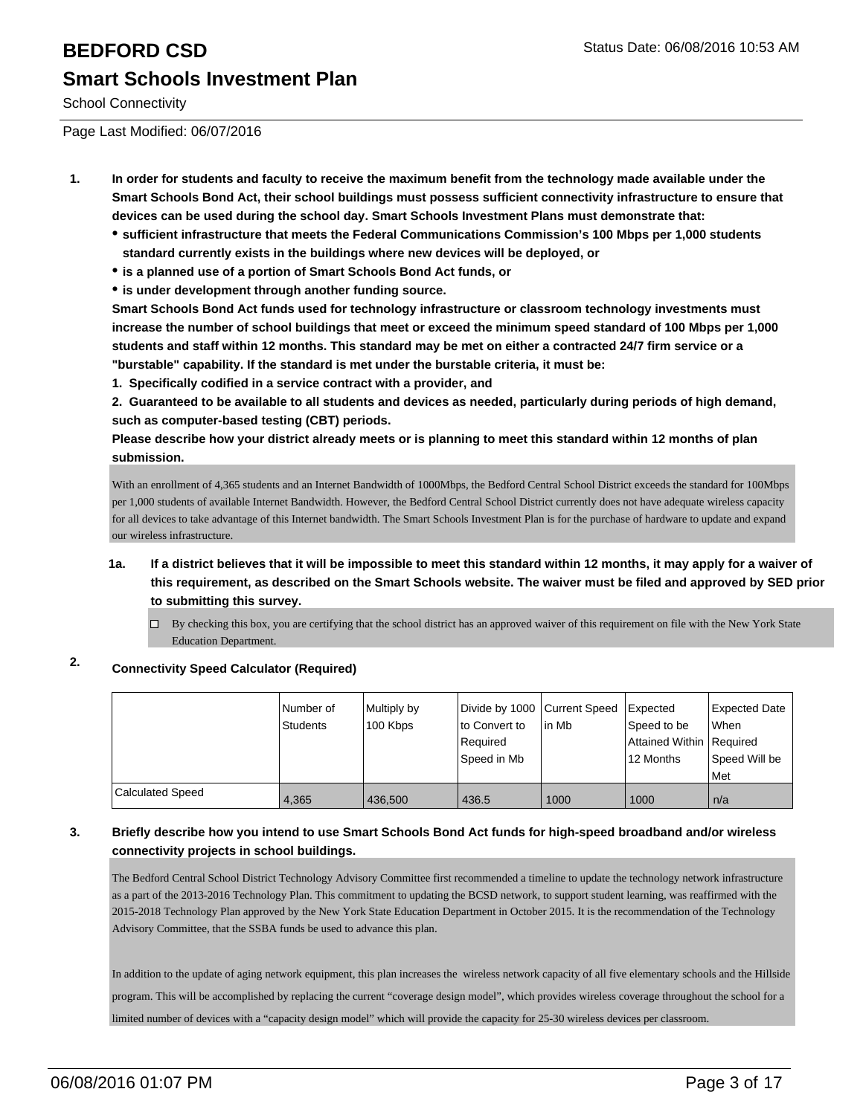# **BEDFORD CSD BEDFORD CSD Status Date: 06/08/2016 10:53 AM Smart Schools Investment Plan**

School Connectivity

Page Last Modified: 06/07/2016

- **1. In order for students and faculty to receive the maximum benefit from the technology made available under the Smart Schools Bond Act, their school buildings must possess sufficient connectivity infrastructure to ensure that devices can be used during the school day. Smart Schools Investment Plans must demonstrate that:**
	- **sufficient infrastructure that meets the Federal Communications Commission's 100 Mbps per 1,000 students standard currently exists in the buildings where new devices will be deployed, or**
	- **is a planned use of a portion of Smart Schools Bond Act funds, or**
	- **is under development through another funding source.**

**Smart Schools Bond Act funds used for technology infrastructure or classroom technology investments must increase the number of school buildings that meet or exceed the minimum speed standard of 100 Mbps per 1,000 students and staff within 12 months. This standard may be met on either a contracted 24/7 firm service or a "burstable" capability. If the standard is met under the burstable criteria, it must be:**

**1. Specifically codified in a service contract with a provider, and**

**2. Guaranteed to be available to all students and devices as needed, particularly during periods of high demand, such as computer-based testing (CBT) periods.**

**Please describe how your district already meets or is planning to meet this standard within 12 months of plan submission.**

With an enrollment of 4,365 students and an Internet Bandwidth of 1000Mbps, the Bedford Central School District exceeds the standard for 100Mbps per 1,000 students of available Internet Bandwidth. However, the Bedford Central School District currently does not have adequate wireless capacity for all devices to take advantage of this Internet bandwidth. The Smart Schools Investment Plan is for the purchase of hardware to update and expand our wireless infrastructure.

- **1a. If a district believes that it will be impossible to meet this standard within 12 months, it may apply for a waiver of this requirement, as described on the Smart Schools website. The waiver must be filed and approved by SED prior to submitting this survey.**
	- $\Box$  By checking this box, you are certifying that the school district has an approved waiver of this requirement on file with the New York State Education Department.

### **2. Connectivity Speed Calculator (Required)**

|                  | Number of<br>Students | Multiply by<br>100 Kbps | Divide by 1000 Current Speed<br>lto Convert to<br>Reauired<br>Speed in Mb | <sup>I</sup> in Mb | <b>Expected</b><br>Speed to be<br>Attained Within   Required<br>12 Months | Expected Date<br><b>When</b><br>Speed Will be<br><b>Met</b> |
|------------------|-----------------------|-------------------------|---------------------------------------------------------------------------|--------------------|---------------------------------------------------------------------------|-------------------------------------------------------------|
| Calculated Speed | 4,365                 | 436.500                 | 436.5                                                                     | 1000               | 1000                                                                      | n/a                                                         |

### **3. Briefly describe how you intend to use Smart Schools Bond Act funds for high-speed broadband and/or wireless connectivity projects in school buildings.**

The Bedford Central School District Technology Advisory Committee first recommended a timeline to update the technology network infrastructure as a part of the 2013-2016 Technology Plan. This commitment to updating the BCSD network, to support student learning, was reaffirmed with the 2015-2018 Technology Plan approved by the New York State Education Department in October 2015. It is the recommendation of the Technology Advisory Committee, that the SSBA funds be used to advance this plan.

In addition to the update of aging network equipment, this plan increases the wireless network capacity of all five elementary schools and the Hillside program. This will be accomplished by replacing the current "coverage design model", which provides wireless coverage throughout the school for a limited number of devices with a "capacity design model" which will provide the capacity for 25-30 wireless devices per classroom.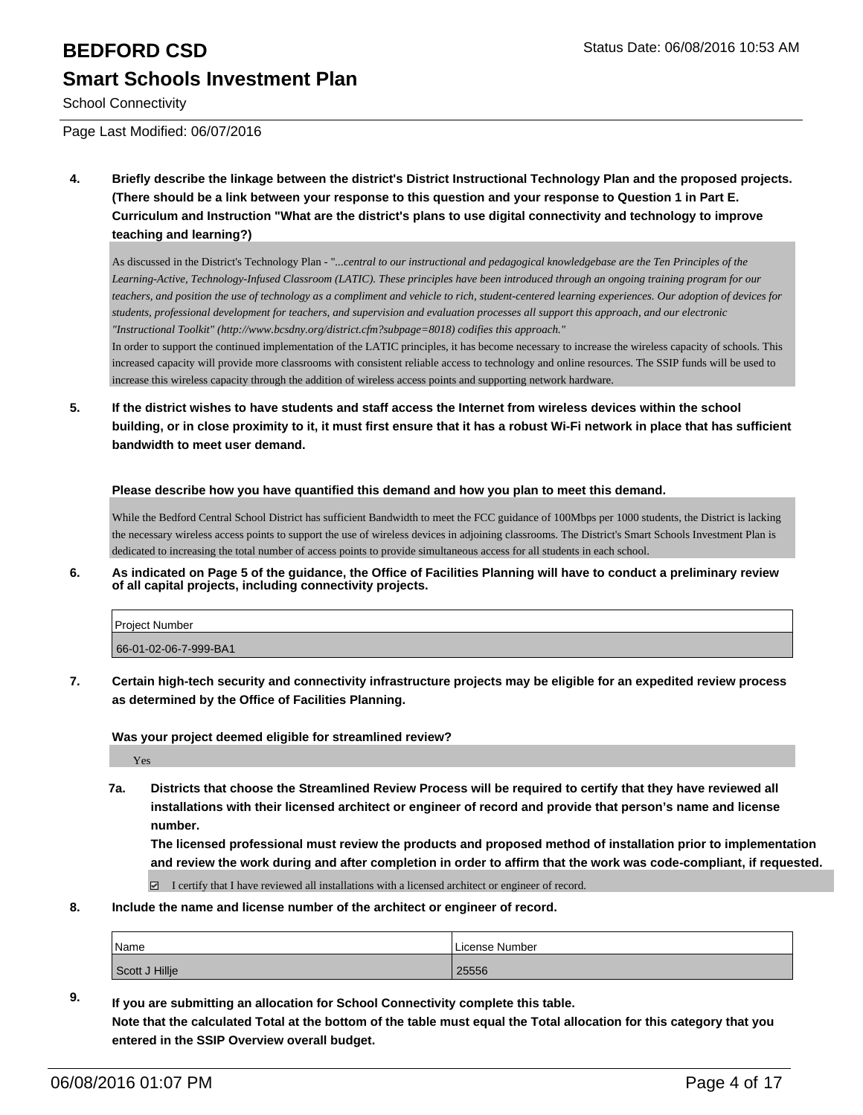# **BEDFORD CSD BEDFORD CSD Smart Schools Investment Plan**

School Connectivity

Page Last Modified: 06/07/2016

**4. Briefly describe the linkage between the district's District Instructional Technology Plan and the proposed projects. (There should be a link between your response to this question and your response to Question 1 in Part E. Curriculum and Instruction "What are the district's plans to use digital connectivity and technology to improve teaching and learning?)**

As discussed in the District's Technology Plan - "*...central to our instructional and pedagogical knowledgebase are the Ten Principles of the Learning-Active, Technology-Infused Classroom (LATIC). These principles have been introduced through an ongoing training program for our teachers, and position the use of technology as a compliment and vehicle to rich, student-centered learning experiences. Our adoption of devices for students, professional development for teachers, and supervision and evaluation processes all support this approach, and our electronic "Instructional Toolkit" (http://www.bcsdny.org/district.cfm?subpage=8018) codifies this approach."*

In order to support the continued implementation of the LATIC principles, it has become necessary to increase the wireless capacity of schools. This increased capacity will provide more classrooms with consistent reliable access to technology and online resources. The SSIP funds will be used to increase this wireless capacity through the addition of wireless access points and supporting network hardware.

**5. If the district wishes to have students and staff access the Internet from wireless devices within the school building, or in close proximity to it, it must first ensure that it has a robust Wi-Fi network in place that has sufficient bandwidth to meet user demand.**

**Please describe how you have quantified this demand and how you plan to meet this demand.**

While the Bedford Central School District has sufficient Bandwidth to meet the FCC guidance of 100Mbps per 1000 students, the District is lacking the necessary wireless access points to support the use of wireless devices in adjoining classrooms. The District's Smart Schools Investment Plan is dedicated to increasing the total number of access points to provide simultaneous access for all students in each school.

**6. As indicated on Page 5 of the guidance, the Office of Facilities Planning will have to conduct a preliminary review of all capital projects, including connectivity projects.**

| <b>Project Number</b> |  |
|-----------------------|--|
| 66-01-02-06-7-999-BA1 |  |

**7. Certain high-tech security and connectivity infrastructure projects may be eligible for an expedited review process as determined by the Office of Facilities Planning.**

**Was your project deemed eligible for streamlined review?**

Yes

**7a. Districts that choose the Streamlined Review Process will be required to certify that they have reviewed all installations with their licensed architect or engineer of record and provide that person's name and license number.**

**The licensed professional must review the products and proposed method of installation prior to implementation and review the work during and after completion in order to affirm that the work was code-compliant, if requested.**

 $\boxtimes$  I certify that I have reviewed all installations with a licensed architect or engineer of record.

**8. Include the name and license number of the architect or engineer of record.**

| Name           | License Number |
|----------------|----------------|
| Scott J Hillje | 25556          |

**9. If you are submitting an allocation for School Connectivity complete this table. Note that the calculated Total at the bottom of the table must equal the Total allocation for this category that you entered in the SSIP Overview overall budget.**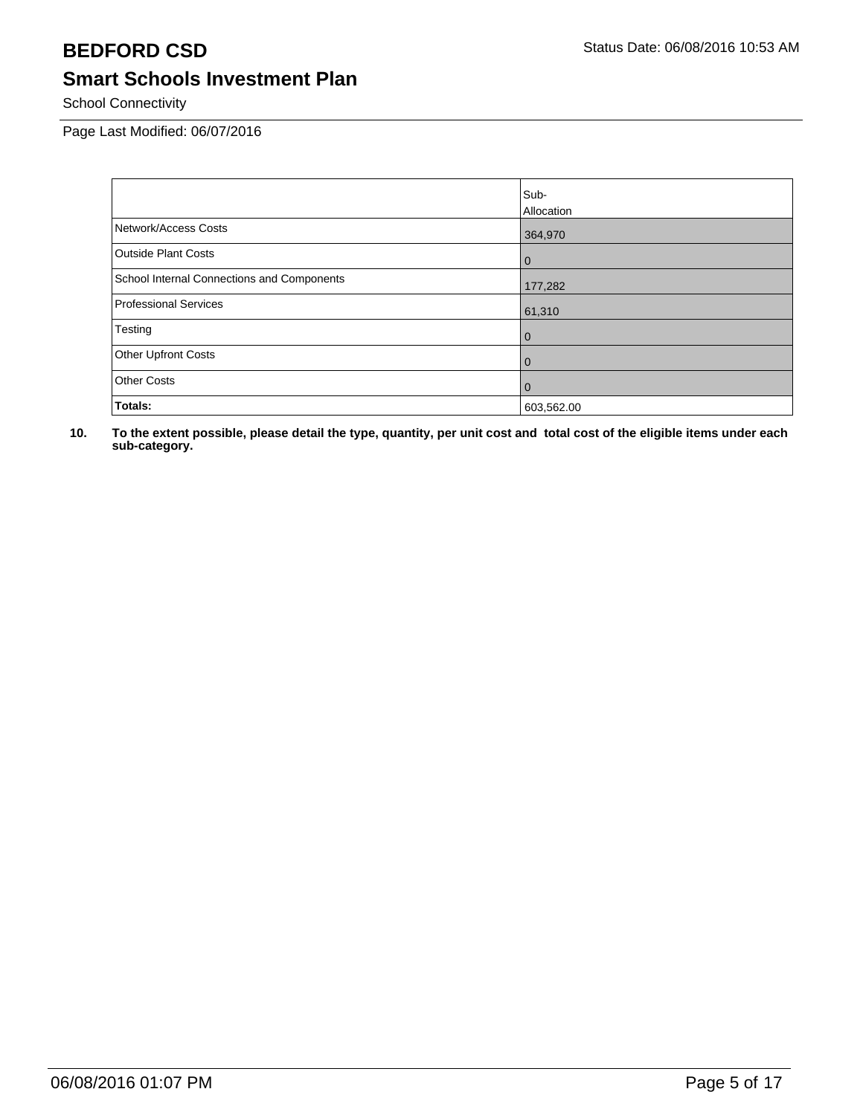School Connectivity

Page Last Modified: 06/07/2016

|                                            | Sub-           |
|--------------------------------------------|----------------|
|                                            | Allocation     |
| Network/Access Costs                       | 364,970        |
| <b>Outside Plant Costs</b>                 | l 0            |
| School Internal Connections and Components | 177,282        |
| <b>Professional Services</b>               | 61,310         |
| Testing                                    | $\overline{0}$ |
| Other Upfront Costs                        | l 0            |
| <b>Other Costs</b>                         | l 0            |
| Totals:                                    | 603,562.00     |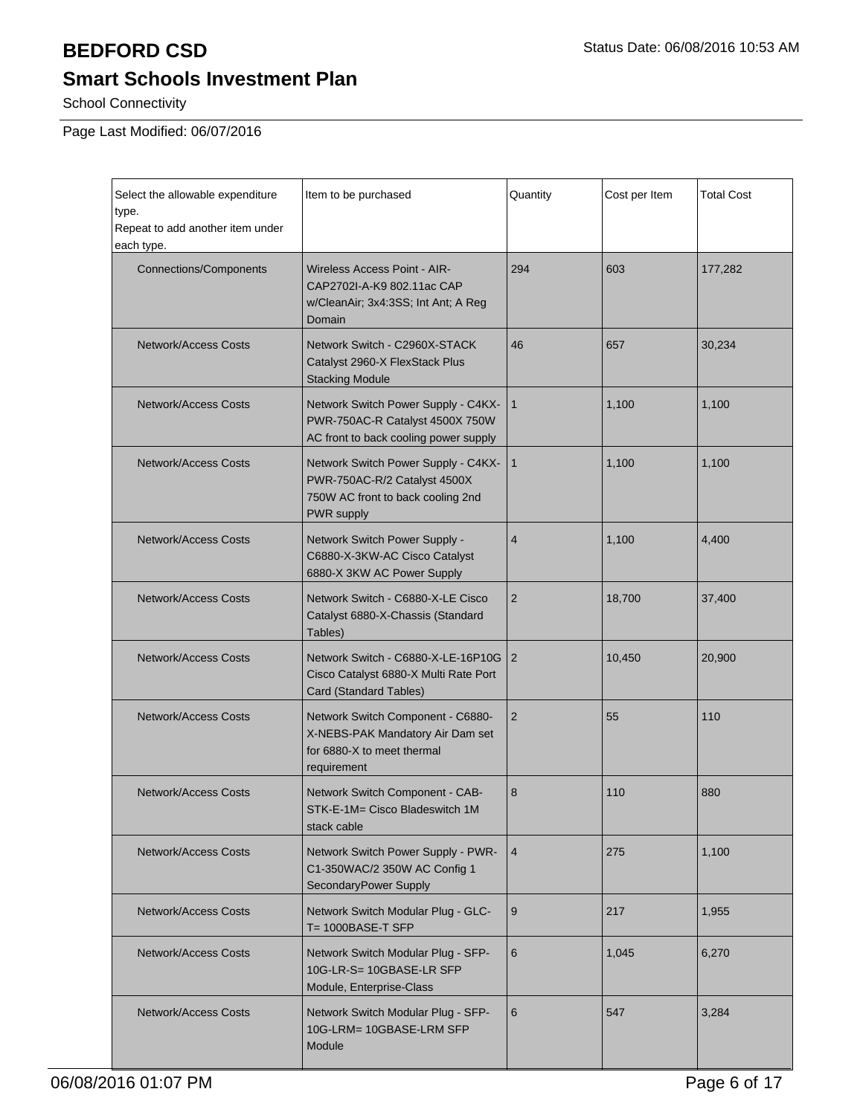School Connectivity

| Select the allowable expenditure<br>type.<br>Repeat to add another item under<br>each type.                                                       | Item to be purchased                                                                                                   | Quantity       | Cost per Item | <b>Total Cost</b> |
|---------------------------------------------------------------------------------------------------------------------------------------------------|------------------------------------------------------------------------------------------------------------------------|----------------|---------------|-------------------|
| <b>Connections/Components</b>                                                                                                                     | <b>Wireless Access Point - AIR-</b><br>CAP2702I-A-K9 802.11ac CAP<br>w/CleanAir; 3x4:3SS; Int Ant; A Reg<br>Domain     | 294            | 603           | 177,282           |
| <b>Network/Access Costs</b>                                                                                                                       | Network Switch - C2960X-STACK<br>Catalyst 2960-X FlexStack Plus<br><b>Stacking Module</b>                              | 46             | 657           | 30,234            |
| <b>Network/Access Costs</b>                                                                                                                       | Network Switch Power Supply - C4KX-<br>PWR-750AC-R Catalyst 4500X 750W<br>AC front to back cooling power supply        | $\mathbf{1}$   | 1,100         | 1,100             |
| <b>Network/Access Costs</b>                                                                                                                       | Network Switch Power Supply - C4KX-<br>PWR-750AC-R/2 Catalyst 4500X<br>750W AC front to back cooling 2nd<br>PWR supply | $\mathbf{1}$   | 1,100         | 1,100             |
| <b>Network/Access Costs</b>                                                                                                                       | Network Switch Power Supply -<br>C6880-X-3KW-AC Cisco Catalyst<br>6880-X 3KW AC Power Supply                           | $\overline{4}$ | 1,100         | 4,400             |
| <b>Network/Access Costs</b>                                                                                                                       | Network Switch - C6880-X-LE Cisco<br>Catalyst 6880-X-Chassis (Standard<br>Tables)                                      | $\overline{2}$ | 18,700        | 37,400            |
| <b>Network/Access Costs</b><br>Network Switch - C6880-X-LE-16P10G<br>Cisco Catalyst 6880-X Multi Rate Port<br>Card (Standard Tables)              |                                                                                                                        | 2              | 10,450        | 20,900            |
| <b>Network/Access Costs</b><br>Network Switch Component - C6880-<br>X-NEBS-PAK Mandatory Air Dam set<br>for 6880-X to meet thermal<br>requirement |                                                                                                                        | $\overline{2}$ | 55            | 110               |
| <b>Network/Access Costs</b><br>Network Switch Component - CAB-<br>STK-E-1M= Cisco Bladeswitch 1M<br>stack cable                                   |                                                                                                                        | 8              | 110           | 880               |
| Network Switch Power Supply - PWR-<br><b>Network/Access Costs</b><br>C1-350WAC/2 350W AC Config 1<br>SecondaryPower Supply                        |                                                                                                                        | $\overline{4}$ | 275           | 1,100             |
| <b>Network/Access Costs</b>                                                                                                                       | Network Switch Modular Plug - GLC-<br>9<br>$T = 1000BASE-T$ SFP                                                        |                | 217           | 1,955             |
| Network/Access Costs                                                                                                                              | Network Switch Modular Plug - SFP-<br>10G-LR-S= 10GBASE-LR SFP<br>Module, Enterprise-Class                             | 6              | 1,045         | 6,270             |
| <b>Network/Access Costs</b><br>Network Switch Modular Plug - SFP-<br>10G-LRM= 10GBASE-LRM SFP<br>Module                                           |                                                                                                                        | 6              | 547           | 3,284             |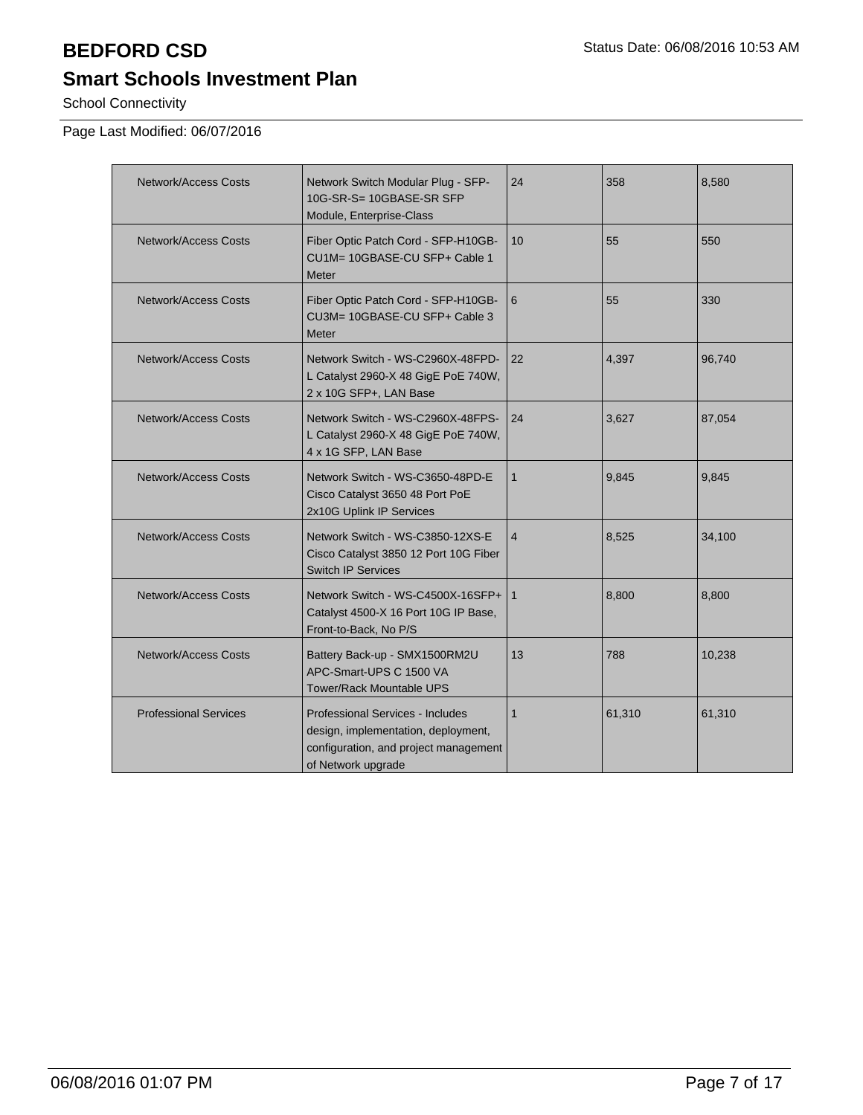School Connectivity

| <b>Network/Access Costs</b>  | Network Switch Modular Plug - SFP-<br>10G-SR-S= 10GBASE-SR SFP<br>Module, Enterprise-Class                                             | 24             | 358    | 8,580  |
|------------------------------|----------------------------------------------------------------------------------------------------------------------------------------|----------------|--------|--------|
| Network/Access Costs         | Fiber Optic Patch Cord - SFP-H10GB-<br>CU1M= 10GBASE-CU SFP+ Cable 1<br>Meter                                                          | 10             | 55     | 550    |
| Network/Access Costs         | Fiber Optic Patch Cord - SFP-H10GB-<br>CU3M= 10GBASE-CU SFP+ Cable 3<br>Meter                                                          | 6              | 55     | 330    |
| <b>Network/Access Costs</b>  | Network Switch - WS-C2960X-48FPD-<br>L Catalyst 2960-X 48 GigE PoE 740W,<br>2 x 10G SFP+, LAN Base                                     | 22             | 4,397  | 96,740 |
| <b>Network/Access Costs</b>  | Network Switch - WS-C2960X-48FPS-<br>L Catalyst 2960-X 48 GigE PoE 740W,<br>4 x 1G SFP, LAN Base                                       | 24             | 3,627  | 87,054 |
| <b>Network/Access Costs</b>  | Network Switch - WS-C3650-48PD-E<br>Cisco Catalyst 3650 48 Port PoE<br>2x10G Uplink IP Services                                        | $\mathbf{1}$   | 9,845  | 9,845  |
| <b>Network/Access Costs</b>  | Network Switch - WS-C3850-12XS-E<br>Cisco Catalyst 3850 12 Port 10G Fiber<br><b>Switch IP Services</b>                                 | $\overline{4}$ | 8,525  | 34,100 |
| <b>Network/Access Costs</b>  | Network Switch - WS-C4500X-16SFP+   1<br>Catalyst 4500-X 16 Port 10G IP Base,<br>Front-to-Back, No P/S                                 |                | 8,800  | 8,800  |
| <b>Network/Access Costs</b>  | Battery Back-up - SMX1500RM2U<br>APC-Smart-UPS C 1500 VA<br><b>Tower/Rack Mountable UPS</b>                                            | 13             | 788    | 10,238 |
| <b>Professional Services</b> | Professional Services - Includes<br>design, implementation, deployment,<br>configuration, and project management<br>of Network upgrade |                | 61,310 | 61,310 |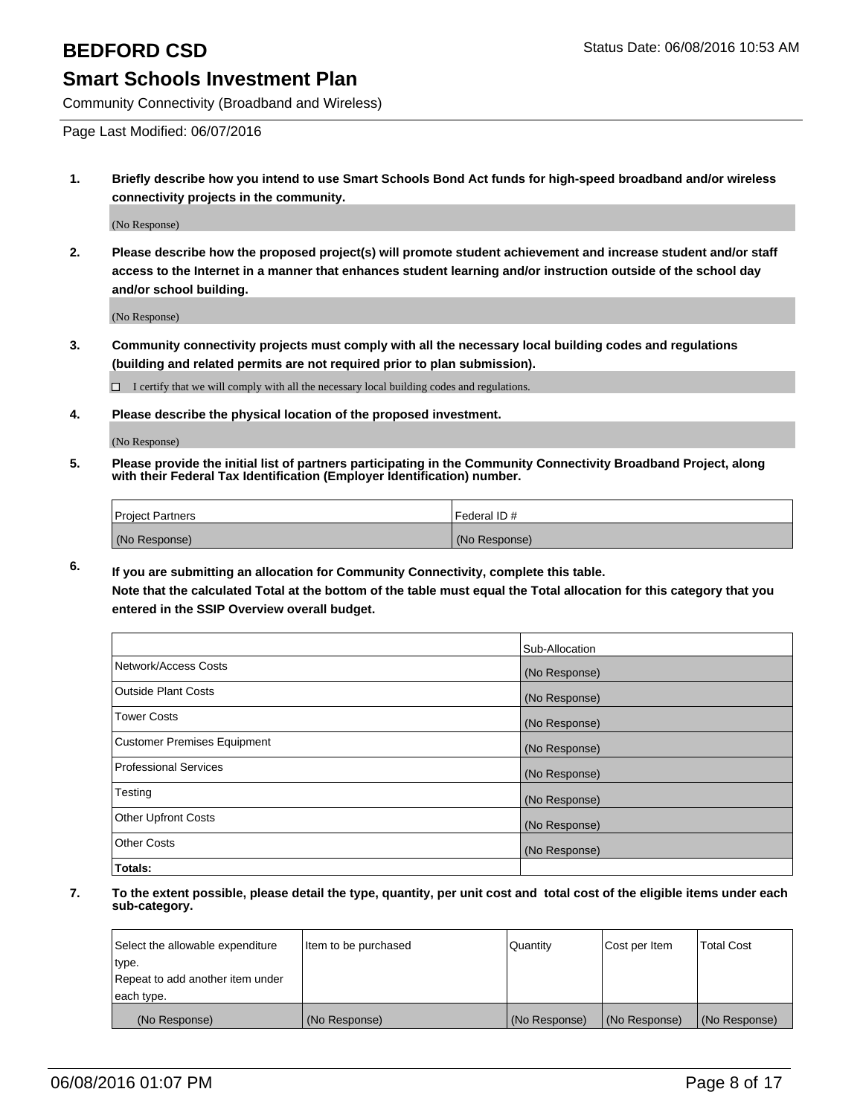Community Connectivity (Broadband and Wireless)

Page Last Modified: 06/07/2016

**1. Briefly describe how you intend to use Smart Schools Bond Act funds for high-speed broadband and/or wireless connectivity projects in the community.**

(No Response)

**2. Please describe how the proposed project(s) will promote student achievement and increase student and/or staff access to the Internet in a manner that enhances student learning and/or instruction outside of the school day and/or school building.**

(No Response)

**3. Community connectivity projects must comply with all the necessary local building codes and regulations (building and related permits are not required prior to plan submission).**

 $\Box$  I certify that we will comply with all the necessary local building codes and regulations.

**4. Please describe the physical location of the proposed investment.**

(No Response)

**5. Please provide the initial list of partners participating in the Community Connectivity Broadband Project, along with their Federal Tax Identification (Employer Identification) number.**

| Project Partners | I Federal ID # |
|------------------|----------------|
| (No Response)    | (No Response)  |

**6. If you are submitting an allocation for Community Connectivity, complete this table.**

**Note that the calculated Total at the bottom of the table must equal the Total allocation for this category that you entered in the SSIP Overview overall budget.**

|                             | Sub-Allocation |
|-----------------------------|----------------|
| Network/Access Costs        | (No Response)  |
| Outside Plant Costs         | (No Response)  |
| <b>Tower Costs</b>          | (No Response)  |
| Customer Premises Equipment | (No Response)  |
| Professional Services       | (No Response)  |
| Testing                     | (No Response)  |
| Other Upfront Costs         | (No Response)  |
| Other Costs                 | (No Response)  |
| Totals:                     |                |

| Select the allowable expenditure | Item to be purchased | Quantity      | Cost per Item | <b>Total Cost</b> |
|----------------------------------|----------------------|---------------|---------------|-------------------|
| type.                            |                      |               |               |                   |
| Repeat to add another item under |                      |               |               |                   |
| each type.                       |                      |               |               |                   |
| (No Response)                    | (No Response)        | (No Response) | (No Response) | (No Response)     |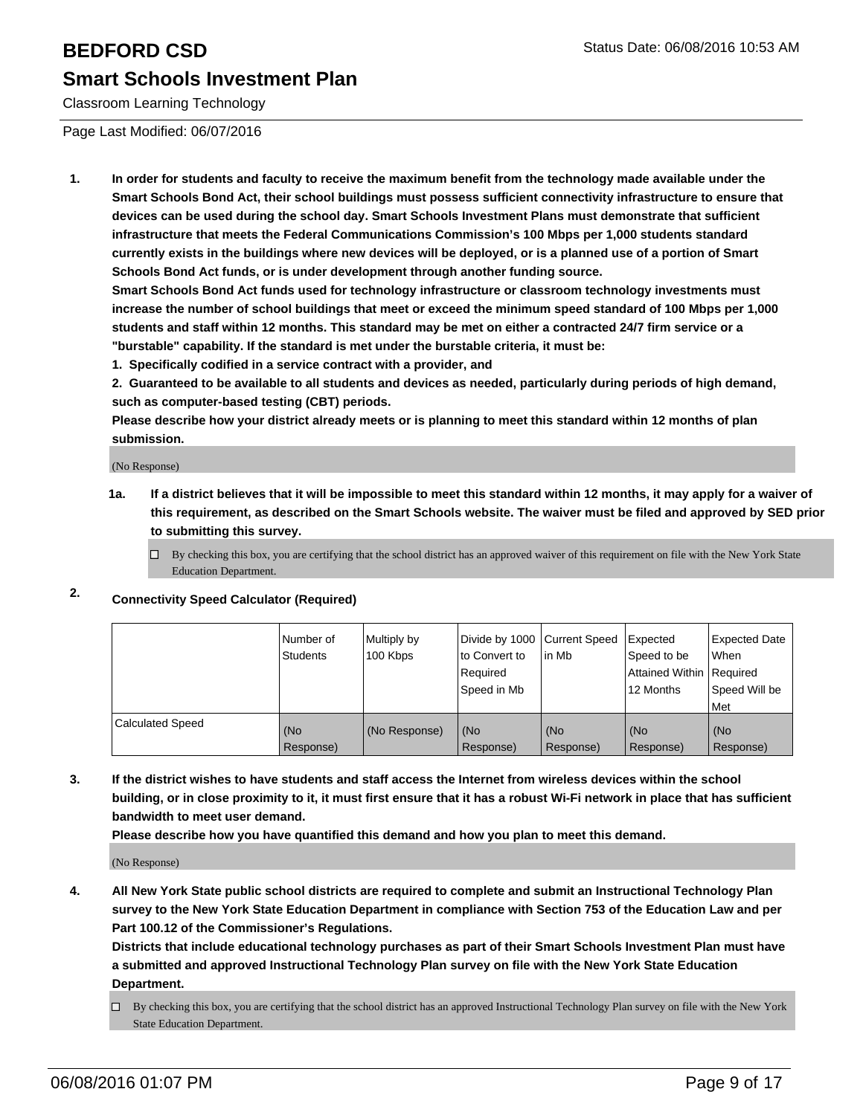Classroom Learning Technology

Page Last Modified: 06/07/2016

**1. In order for students and faculty to receive the maximum benefit from the technology made available under the Smart Schools Bond Act, their school buildings must possess sufficient connectivity infrastructure to ensure that devices can be used during the school day. Smart Schools Investment Plans must demonstrate that sufficient infrastructure that meets the Federal Communications Commission's 100 Mbps per 1,000 students standard currently exists in the buildings where new devices will be deployed, or is a planned use of a portion of Smart Schools Bond Act funds, or is under development through another funding source.**

**Smart Schools Bond Act funds used for technology infrastructure or classroom technology investments must increase the number of school buildings that meet or exceed the minimum speed standard of 100 Mbps per 1,000 students and staff within 12 months. This standard may be met on either a contracted 24/7 firm service or a "burstable" capability. If the standard is met under the burstable criteria, it must be:**

**1. Specifically codified in a service contract with a provider, and**

**2. Guaranteed to be available to all students and devices as needed, particularly during periods of high demand, such as computer-based testing (CBT) periods.**

**Please describe how your district already meets or is planning to meet this standard within 12 months of plan submission.**

(No Response)

- **1a. If a district believes that it will be impossible to meet this standard within 12 months, it may apply for a waiver of this requirement, as described on the Smart Schools website. The waiver must be filed and approved by SED prior to submitting this survey.**
	- $\Box$  By checking this box, you are certifying that the school district has an approved waiver of this requirement on file with the New York State Education Department.
- **2. Connectivity Speed Calculator (Required)**

|                         | l Number of<br>Students | Multiply by<br>100 Kbps | Divide by 1000 Current Speed<br>Ito Convert to<br>l Reauired<br>l Speed in Mb | lin Mb           | Expected<br>Speed to be<br>Attained Within Required<br>12 Months | Expected Date<br><b>When</b><br>l Speed Will be<br><b>Met</b> |
|-------------------------|-------------------------|-------------------------|-------------------------------------------------------------------------------|------------------|------------------------------------------------------------------|---------------------------------------------------------------|
| <b>Calculated Speed</b> | (No<br>Response)        | (No Response)           | (No<br>Response)                                                              | (No<br>Response) | (No<br>Response)                                                 | l (No<br>Response)                                            |

**3. If the district wishes to have students and staff access the Internet from wireless devices within the school building, or in close proximity to it, it must first ensure that it has a robust Wi-Fi network in place that has sufficient bandwidth to meet user demand.**

**Please describe how you have quantified this demand and how you plan to meet this demand.**

(No Response)

**4. All New York State public school districts are required to complete and submit an Instructional Technology Plan survey to the New York State Education Department in compliance with Section 753 of the Education Law and per Part 100.12 of the Commissioner's Regulations.**

**Districts that include educational technology purchases as part of their Smart Schools Investment Plan must have a submitted and approved Instructional Technology Plan survey on file with the New York State Education Department.**

By checking this box, you are certifying that the school district has an approved Instructional Technology Plan survey on file with the New York State Education Department.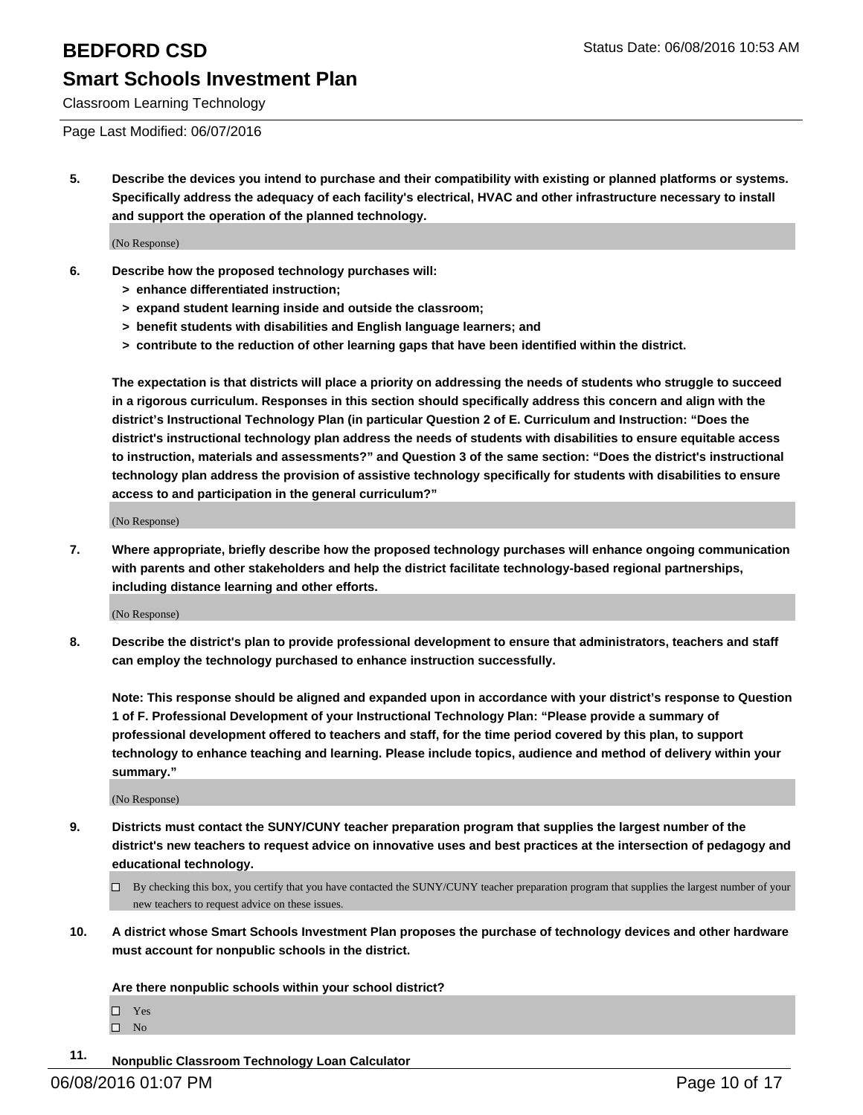Classroom Learning Technology

### Page Last Modified: 06/07/2016

**5. Describe the devices you intend to purchase and their compatibility with existing or planned platforms or systems. Specifically address the adequacy of each facility's electrical, HVAC and other infrastructure necessary to install and support the operation of the planned technology.**

(No Response)

- **6. Describe how the proposed technology purchases will:**
	- **> enhance differentiated instruction;**
	- **> expand student learning inside and outside the classroom;**
	- **> benefit students with disabilities and English language learners; and**
	- **> contribute to the reduction of other learning gaps that have been identified within the district.**

**The expectation is that districts will place a priority on addressing the needs of students who struggle to succeed in a rigorous curriculum. Responses in this section should specifically address this concern and align with the district's Instructional Technology Plan (in particular Question 2 of E. Curriculum and Instruction: "Does the district's instructional technology plan address the needs of students with disabilities to ensure equitable access to instruction, materials and assessments?" and Question 3 of the same section: "Does the district's instructional technology plan address the provision of assistive technology specifically for students with disabilities to ensure access to and participation in the general curriculum?"**

(No Response)

**7. Where appropriate, briefly describe how the proposed technology purchases will enhance ongoing communication with parents and other stakeholders and help the district facilitate technology-based regional partnerships, including distance learning and other efforts.**

(No Response)

**8. Describe the district's plan to provide professional development to ensure that administrators, teachers and staff can employ the technology purchased to enhance instruction successfully.**

**Note: This response should be aligned and expanded upon in accordance with your district's response to Question 1 of F. Professional Development of your Instructional Technology Plan: "Please provide a summary of professional development offered to teachers and staff, for the time period covered by this plan, to support technology to enhance teaching and learning. Please include topics, audience and method of delivery within your summary."**

(No Response)

- **9. Districts must contact the SUNY/CUNY teacher preparation program that supplies the largest number of the district's new teachers to request advice on innovative uses and best practices at the intersection of pedagogy and educational technology.**
	- $\Box$  By checking this box, you certify that you have contacted the SUNY/CUNY teacher preparation program that supplies the largest number of your new teachers to request advice on these issues.
- **10. A district whose Smart Schools Investment Plan proposes the purchase of technology devices and other hardware must account for nonpublic schools in the district.**

**Are there nonpublic schools within your school district?**

Yes  $\hfill \square$  No

**11. Nonpublic Classroom Technology Loan Calculator**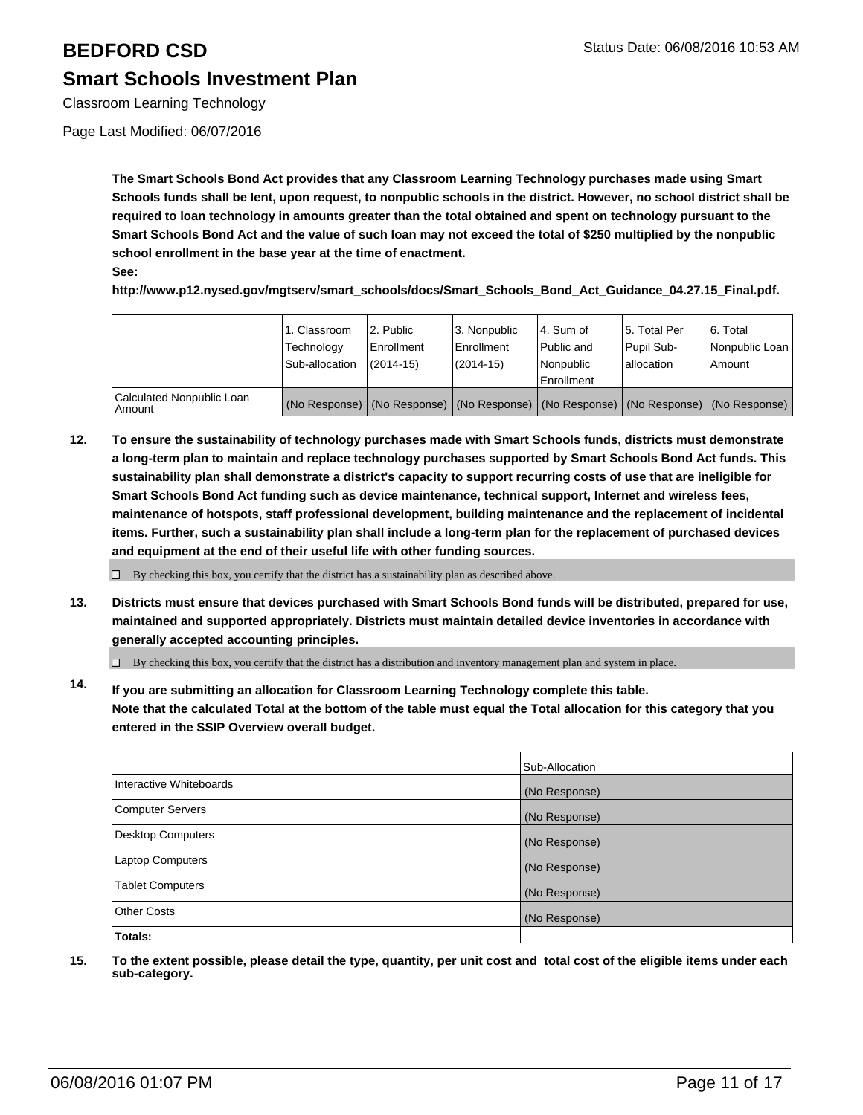Classroom Learning Technology

Page Last Modified: 06/07/2016

**The Smart Schools Bond Act provides that any Classroom Learning Technology purchases made using Smart Schools funds shall be lent, upon request, to nonpublic schools in the district. However, no school district shall be required to loan technology in amounts greater than the total obtained and spent on technology pursuant to the Smart Schools Bond Act and the value of such loan may not exceed the total of \$250 multiplied by the nonpublic school enrollment in the base year at the time of enactment.**

**See:**

**http://www.p12.nysed.gov/mgtserv/smart\_schools/docs/Smart\_Schools\_Bond\_Act\_Guidance\_04.27.15\_Final.pdf.**

|                                     | 1. Classroom<br>Technology<br>Sub-allocation | 2. Public<br>Enrollment<br>$(2014 - 15)$ | 3. Nonpublic<br><b>Enrollment</b><br>$(2014 - 15)$ | l 4. Sum of<br>l Public and<br>Nonpublic<br><b>Enrollment</b> | 5. Total Per<br>Pupil Sub-<br>lallocation | 6. Total<br>Nonpublic Loan<br>Amount                                                          |
|-------------------------------------|----------------------------------------------|------------------------------------------|----------------------------------------------------|---------------------------------------------------------------|-------------------------------------------|-----------------------------------------------------------------------------------------------|
| Calculated Nonpublic Loan<br>Amount |                                              |                                          |                                                    |                                                               |                                           | (No Response)   (No Response)   (No Response)   (No Response)   (No Response)   (No Response) |

**12. To ensure the sustainability of technology purchases made with Smart Schools funds, districts must demonstrate a long-term plan to maintain and replace technology purchases supported by Smart Schools Bond Act funds. This sustainability plan shall demonstrate a district's capacity to support recurring costs of use that are ineligible for Smart Schools Bond Act funding such as device maintenance, technical support, Internet and wireless fees, maintenance of hotspots, staff professional development, building maintenance and the replacement of incidental items. Further, such a sustainability plan shall include a long-term plan for the replacement of purchased devices and equipment at the end of their useful life with other funding sources.**

 $\Box$  By checking this box, you certify that the district has a sustainability plan as described above.

**13. Districts must ensure that devices purchased with Smart Schools Bond funds will be distributed, prepared for use, maintained and supported appropriately. Districts must maintain detailed device inventories in accordance with generally accepted accounting principles.**

 $\Box$  By checking this box, you certify that the district has a distribution and inventory management plan and system in place.

**14. If you are submitting an allocation for Classroom Learning Technology complete this table. Note that the calculated Total at the bottom of the table must equal the Total allocation for this category that you entered in the SSIP Overview overall budget.**

|                          | Sub-Allocation |
|--------------------------|----------------|
| Interactive Whiteboards  | (No Response)  |
| Computer Servers         | (No Response)  |
| <b>Desktop Computers</b> | (No Response)  |
| <b>Laptop Computers</b>  | (No Response)  |
| <b>Tablet Computers</b>  | (No Response)  |
| Other Costs              | (No Response)  |
| Totals:                  |                |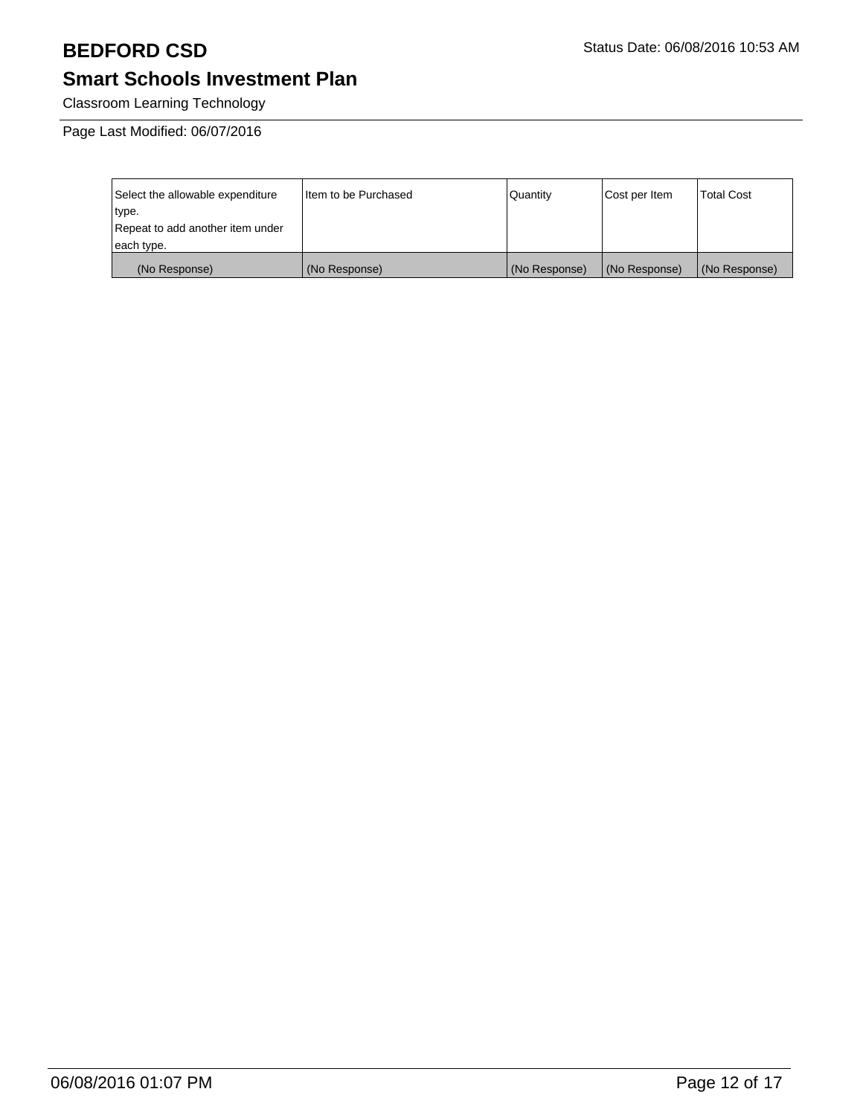Classroom Learning Technology

| Select the allowable expenditure | I Item to be Purchased | l Quantitv    | Cost per Item | <b>Total Cost</b> |
|----------------------------------|------------------------|---------------|---------------|-------------------|
| type.                            |                        |               |               |                   |
| Repeat to add another item under |                        |               |               |                   |
| each type.                       |                        |               |               |                   |
| (No Response)                    | (No Response)          | (No Response) | (No Response) | (No Response)     |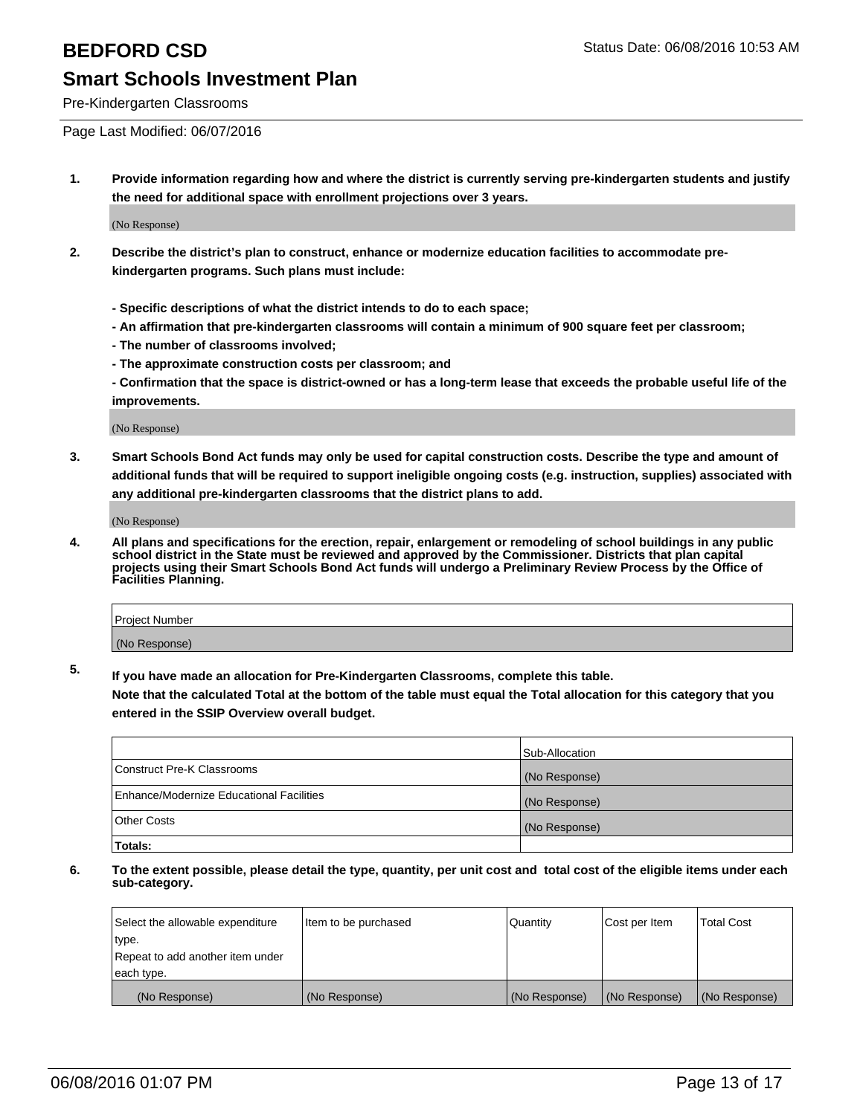Pre-Kindergarten Classrooms

Page Last Modified: 06/07/2016

**1. Provide information regarding how and where the district is currently serving pre-kindergarten students and justify the need for additional space with enrollment projections over 3 years.**

(No Response)

- **2. Describe the district's plan to construct, enhance or modernize education facilities to accommodate prekindergarten programs. Such plans must include:**
	- **Specific descriptions of what the district intends to do to each space;**
	- **An affirmation that pre-kindergarten classrooms will contain a minimum of 900 square feet per classroom;**
	- **The number of classrooms involved;**
	- **The approximate construction costs per classroom; and**
	- **Confirmation that the space is district-owned or has a long-term lease that exceeds the probable useful life of the improvements.**

(No Response)

**3. Smart Schools Bond Act funds may only be used for capital construction costs. Describe the type and amount of additional funds that will be required to support ineligible ongoing costs (e.g. instruction, supplies) associated with any additional pre-kindergarten classrooms that the district plans to add.**

(No Response)

**4. All plans and specifications for the erection, repair, enlargement or remodeling of school buildings in any public school district in the State must be reviewed and approved by the Commissioner. Districts that plan capital projects using their Smart Schools Bond Act funds will undergo a Preliminary Review Process by the Office of Facilities Planning.**

| Project Number |  |
|----------------|--|
| (No Response)  |  |

**5. If you have made an allocation for Pre-Kindergarten Classrooms, complete this table.**

**Note that the calculated Total at the bottom of the table must equal the Total allocation for this category that you entered in the SSIP Overview overall budget.**

|                                          | Sub-Allocation |
|------------------------------------------|----------------|
| Construct Pre-K Classrooms               | (No Response)  |
| Enhance/Modernize Educational Facilities | (No Response)  |
| Other Costs                              | (No Response)  |
| Totals:                                  |                |

| Select the allowable expenditure | Item to be purchased | Quantity      | Cost per Item | <b>Total Cost</b> |
|----------------------------------|----------------------|---------------|---------------|-------------------|
| type.                            |                      |               |               |                   |
| Repeat to add another item under |                      |               |               |                   |
| each type.                       |                      |               |               |                   |
| (No Response)                    | (No Response)        | (No Response) | (No Response) | (No Response)     |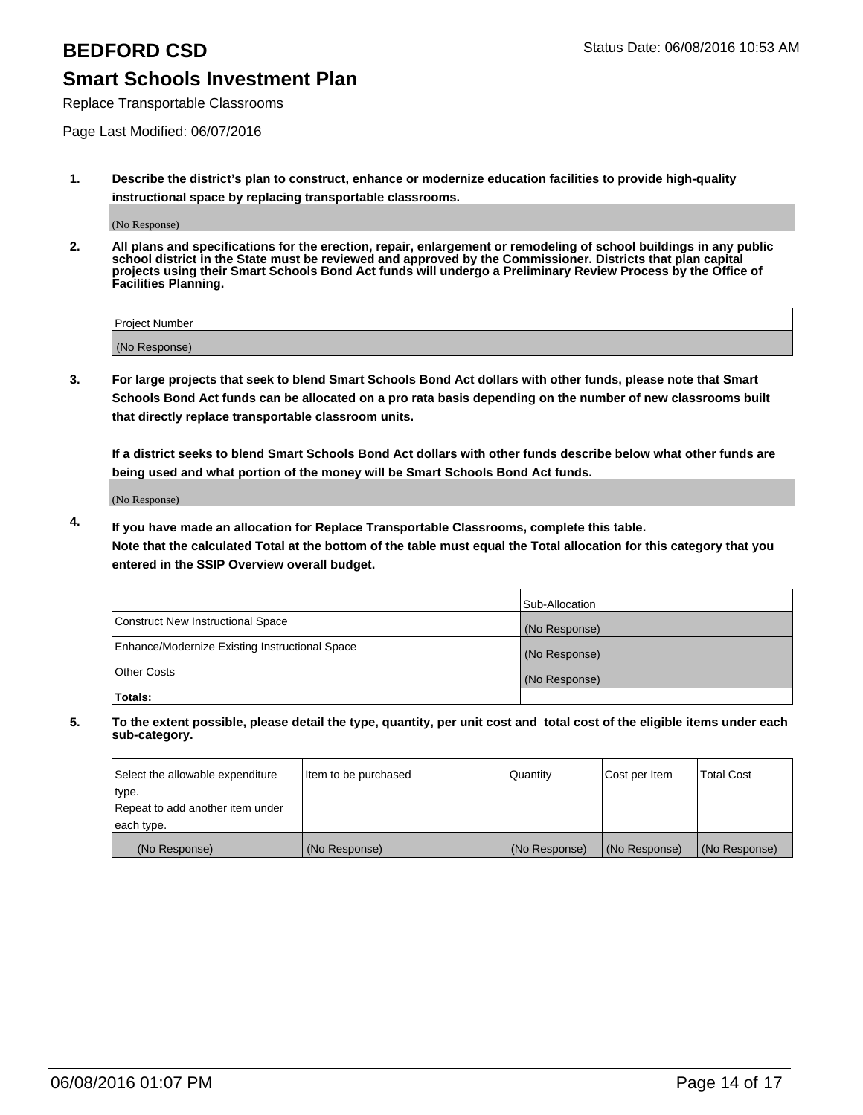Replace Transportable Classrooms

Page Last Modified: 06/07/2016

**1. Describe the district's plan to construct, enhance or modernize education facilities to provide high-quality instructional space by replacing transportable classrooms.**

(No Response)

**2. All plans and specifications for the erection, repair, enlargement or remodeling of school buildings in any public school district in the State must be reviewed and approved by the Commissioner. Districts that plan capital projects using their Smart Schools Bond Act funds will undergo a Preliminary Review Process by the Office of Facilities Planning.**

| <b>Project Number</b> |  |
|-----------------------|--|
| (No Response)         |  |

**3. For large projects that seek to blend Smart Schools Bond Act dollars with other funds, please note that Smart Schools Bond Act funds can be allocated on a pro rata basis depending on the number of new classrooms built that directly replace transportable classroom units.**

**If a district seeks to blend Smart Schools Bond Act dollars with other funds describe below what other funds are being used and what portion of the money will be Smart Schools Bond Act funds.**

(No Response)

**4. If you have made an allocation for Replace Transportable Classrooms, complete this table. Note that the calculated Total at the bottom of the table must equal the Total allocation for this category that you entered in the SSIP Overview overall budget.**

|                                                | Sub-Allocation |
|------------------------------------------------|----------------|
| Construct New Instructional Space              | (No Response)  |
| Enhance/Modernize Existing Instructional Space | (No Response)  |
| <b>Other Costs</b>                             | (No Response)  |
| Totals:                                        |                |

| Select the allowable expenditure | Item to be purchased | <b>Quantity</b> | Cost per Item | <b>Total Cost</b> |
|----------------------------------|----------------------|-----------------|---------------|-------------------|
| type.                            |                      |                 |               |                   |
| Repeat to add another item under |                      |                 |               |                   |
| each type.                       |                      |                 |               |                   |
| (No Response)                    | (No Response)        | (No Response)   | (No Response) | (No Response)     |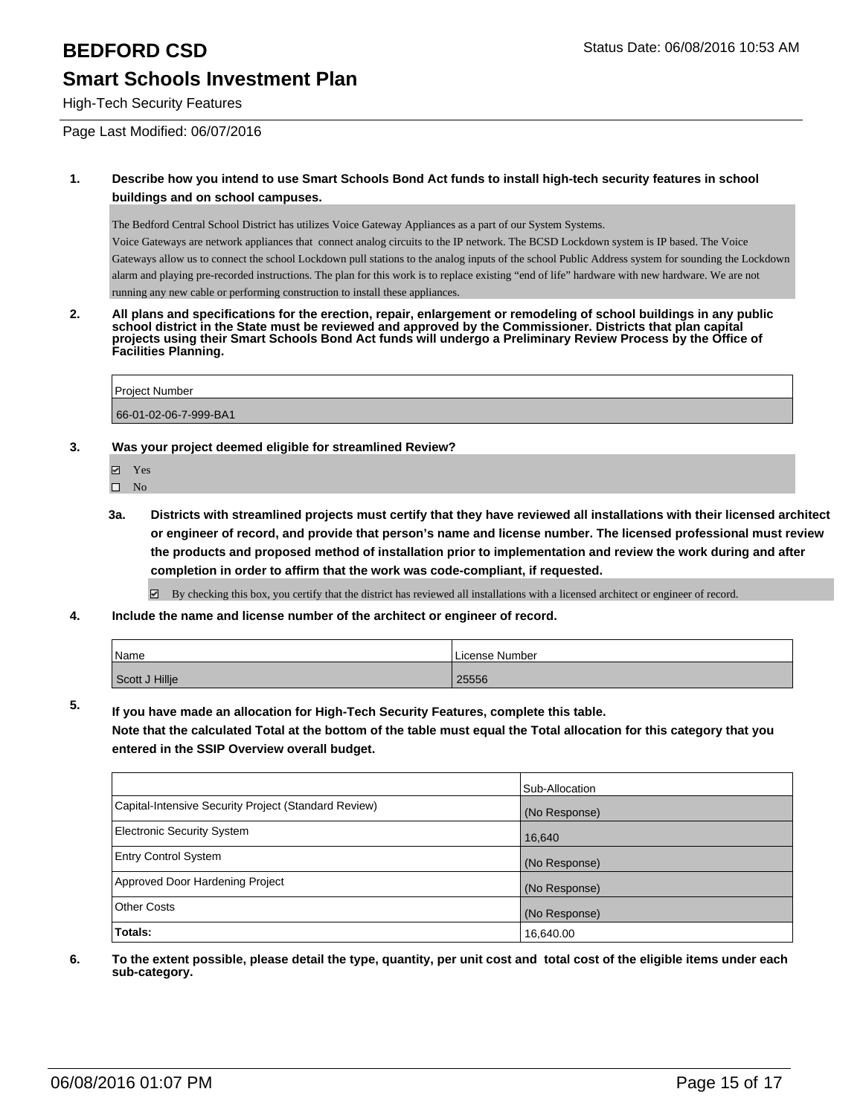High-Tech Security Features

Page Last Modified: 06/07/2016

### **1. Describe how you intend to use Smart Schools Bond Act funds to install high-tech security features in school buildings and on school campuses.**

The Bedford Central School District has utilizes Voice Gateway Appliances as a part of our System Systems.

Voice Gateways are network appliances that connect analog circuits to the IP network. The BCSD Lockdown system is IP based. The Voice Gateways allow us to connect the school Lockdown pull stations to the analog inputs of the school Public Address system for sounding the Lockdown alarm and playing pre-recorded instructions. The plan for this work is to replace existing "end of life" hardware with new hardware. We are not running any new cable or performing construction to install these appliances.

**2. All plans and specifications for the erection, repair, enlargement or remodeling of school buildings in any public school district in the State must be reviewed and approved by the Commissioner. Districts that plan capital projects using their Smart Schools Bond Act funds will undergo a Preliminary Review Process by the Office of Facilities Planning.** 

Project Number 66-01-02-06-7-999-BA1

### **3. Was your project deemed eligible for streamlined Review?**

- **☑** Yes
- $\square$  No
- **3a. Districts with streamlined projects must certify that they have reviewed all installations with their licensed architect or engineer of record, and provide that person's name and license number. The licensed professional must review the products and proposed method of installation prior to implementation and review the work during and after completion in order to affirm that the work was code-compliant, if requested.**

By checking this box, you certify that the district has reviewed all installations with a licensed architect or engineer of record.

**4. Include the name and license number of the architect or engineer of record.**

| Name           | License Number |
|----------------|----------------|
| Scott J Hillje | 25556          |

**5. If you have made an allocation for High-Tech Security Features, complete this table.**

**Note that the calculated Total at the bottom of the table must equal the Total allocation for this category that you entered in the SSIP Overview overall budget.**

|                                                      | Sub-Allocation |
|------------------------------------------------------|----------------|
| Capital-Intensive Security Project (Standard Review) | (No Response)  |
| <b>Electronic Security System</b>                    | 16,640         |
| <b>Entry Control System</b>                          | (No Response)  |
| Approved Door Hardening Project                      | (No Response)  |
| <b>Other Costs</b>                                   | (No Response)  |
| Totals:                                              | 16,640.00      |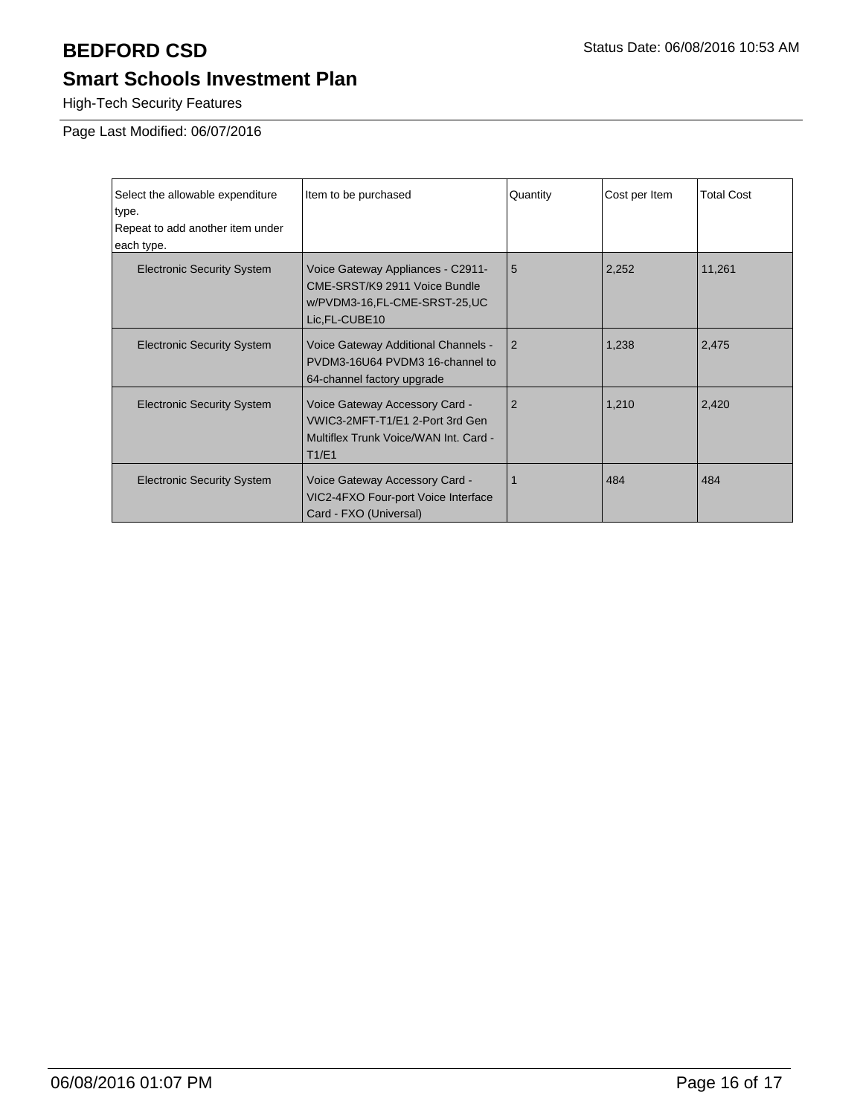High-Tech Security Features

| Select the allowable expenditure  | Item to be purchased                                                                                                 | Quantity       | Cost per Item | <b>Total Cost</b> |
|-----------------------------------|----------------------------------------------------------------------------------------------------------------------|----------------|---------------|-------------------|
| type.                             |                                                                                                                      |                |               |                   |
| Repeat to add another item under  |                                                                                                                      |                |               |                   |
| each type.                        |                                                                                                                      |                |               |                   |
| <b>Electronic Security System</b> | Voice Gateway Appliances - C2911-<br>CME-SRST/K9 2911 Voice Bundle<br>w/PVDM3-16,FL-CME-SRST-25,UC<br>Lic, FL-CUBE10 | 5              | 2,252         | 11,261            |
| <b>Electronic Security System</b> | Voice Gateway Additional Channels -<br>PVDM3-16U64 PVDM3 16-channel to<br>64-channel factory upgrade                 | 2              | 1,238         | 2,475             |
| <b>Electronic Security System</b> | Voice Gateway Accessory Card -<br>VWIC3-2MFT-T1/E1 2-Port 3rd Gen<br>Multiflex Trunk Voice/WAN Int. Card -<br>T1/E1  | $\overline{2}$ | 1,210         | 2,420             |
| <b>Electronic Security System</b> | Voice Gateway Accessory Card -<br>VIC2-4FXO Four-port Voice Interface<br>Card - FXO (Universal)                      |                | 484           | 484               |